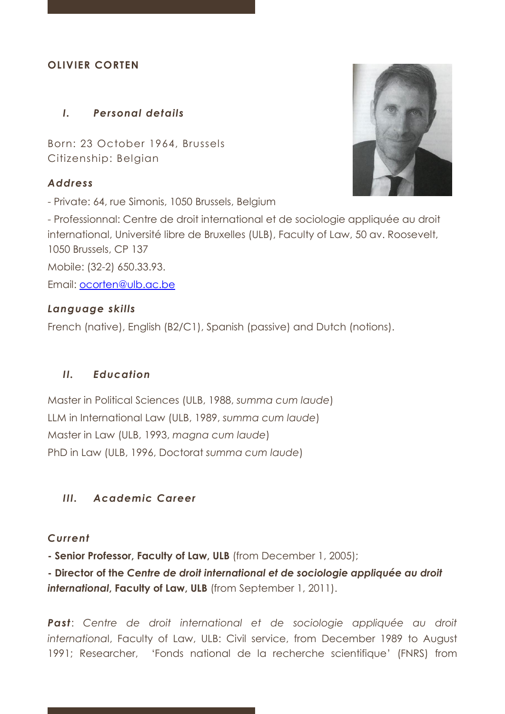## **OLIVIER CORTEN**

## *I. Personal details*

Born: 23 October 1964, Brussels Citizenship: Belgian

### *Address*

- Private: 64, rue Simonis, 1050 Brussels, Belgium

- Professionnal: Centre de droit international et de sociologie appliquée au droit international, Université libre de Bruxelles (ULB), Faculty of Law, 50 av. Roosevelt, 1050 Brussels, CP 137

Mobile: (32-2) 650.33.93.

Email: [ocorten@ulb.ac.be](mailto:ocorten@ulb.ac.be)

## *Language skills*

French (native), English (B2/C1), Spanish (passive) and Dutch (notions).

## *II. Education*

Master in Political Sciences (ULB, 1988, *summa cum laude*) LLM in International Law (ULB, 1989, *summa cum laude*) Master in Law (ULB, 1993, *magna cum laude*) PhD in Law (ULB, 1996, Doctorat *summa cum laude*)

## *III. Academic Career*

## *Current*

**- Senior Professor, Faculty of Law, ULB** (from December 1, 2005);

**- Director of the** *Centre de droit international et de sociologie appliquée au droit international***, Faculty of Law, ULB** (from September 1, 2011).

**Past**: Centre de droit international et de sociologie appliquée au droit *internationa*l, Faculty of Law, ULB: Civil service, from December 1989 to August 1991; Researcher, 'Fonds national de la recherche scientifique' (FNRS) from

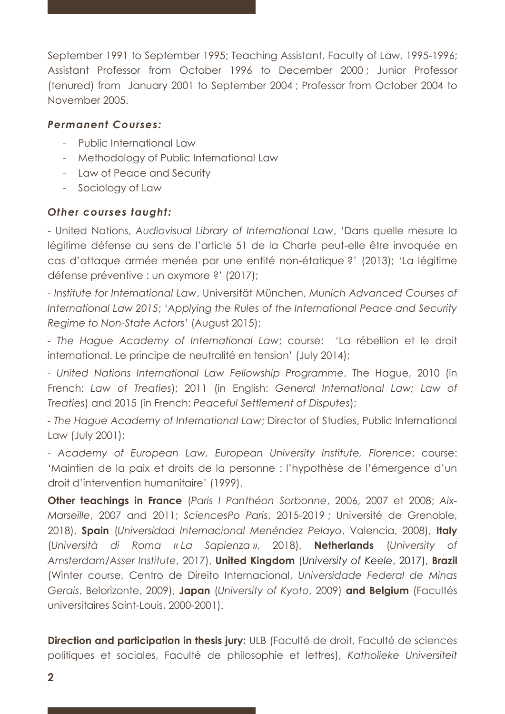September 1991 to September 1995; Teaching Assistant, Faculty of Law, 1995-1996; Assistant Professor from October 1996 to December 2000 ; Junior Professor (tenured) from January 2001 to September 2004 ; Professor from October 2004 to November 2005.

### *Permanent Courses:*

- Public International Law
- Methodology of Public International Law
- Law of Peace and Security
- Sociology of Law

## *Other courses taught:*

- United Nations, *Audiovisual Library of International Law*, 'Dans quelle mesure la légitime défense au sens de l'article 51 de la Charte peut-elle être invoquée en cas d'attaque armée menée par une entité non-étatique ?' (2013); 'La légitime défense préventive : un oxymore ?' (2017);

*- Institute for International Law*, Universität München, *Munich Advanced Courses of International Law 2015*; '*Applying the Rules of the International Peace and Security Regime to Non-State Actors'* (August 2015);

*- The Hague Academy of International Law*; course: 'La rébellion et le droit international. Le principe de neutralité en tension' (July 2014);

*- United Nations International Law Fellowship Programme*, The Hague, 2010 (in French: *Law of Treaties*); 2011 (in English: *General International Law; Law of Treaties*) and 2015 (in French: *Peaceful Settlement of Disputes*);

*- The Hague Academy of International Law*; Director of Studies, Public International Law (July 2001);

- *Academy of European Law, European University Institute, Florence*; course: 'Maintien de la paix et droits de la personne : l'hypothèse de l'émergence d'un droit d'intervention humanitaire' (1999).

**Other teachings in France** (*Paris I Panthéon Sorbonne*, 2006, 2007 et 2008; *Aix-Marseille*, 2007 and 2011; *SciencesPo Paris*, 2015-2019 ; Université de Grenoble, 2018), **Spain** (*Universidad Internacional Menéndez Pelayo*, Valencia, 2008), **Italy** (*Università di Roma « La Sapienza »*, 2018), **Netherlands** (*University of Amsterdam/Asser Institute*, 2017), **United Kingdom** (*University of Keele*, 2017), **Brazil**  (Winter course, Centro de Direito Internacional, *Universidade Federal de Minas Gerais*, Belorizonte, 2009), **Japan** (*University of Kyoto*, 2009) **and Belgium** (Facultés universitaires Saint-Louis, 2000-2001).

**Direction and participation in thesis jury:** ULB (Faculté de droit, Faculté de sciences politiques et sociales, Faculté de philosophie et lettres), *Katholieke Universiteit*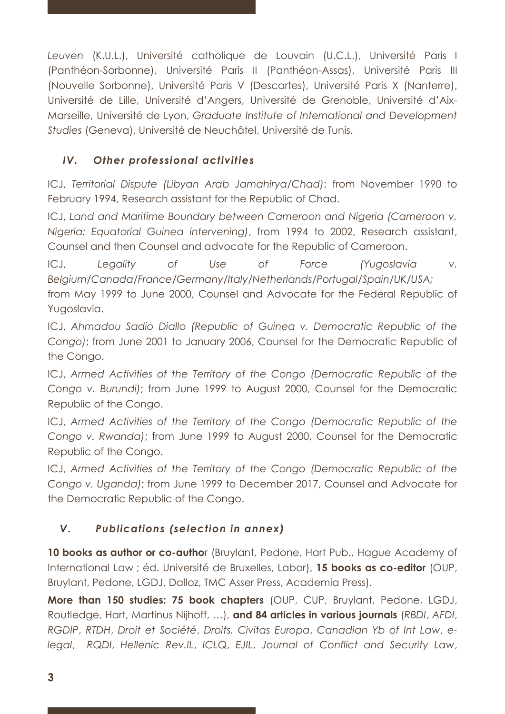*Leuven* (K.U.L.), Université catholique de Louvain (U.C.L.), Université Paris I (Panthéon-Sorbonne), Université Paris II (Panthéon-Assas), Université Paris III (Nouvelle Sorbonne), Université Paris V (Descartes), Université Paris X (Nanterre), Université de Lille, Université d'Angers, Université de Grenoble, Université d'Aix-Marseille, Université de Lyon, *Graduate Institute of International and Development Studies* (Geneva), Université de Neuchâtel, Université de Tunis.

# *IV. Other professional activities*

ICJ, *Territorial Dispute (Libyan Arab Jamahirya/Chad)*; from November 1990 to February 1994, Research assistant for the Republic of Chad.

ICJ, *Land and Maritime Boundary between Cameroon and Nigeria (Cameroon v. Nigeria: Equatorial Guinea intervening)*, from 1994 to 2002, Research assistant, Counsel and then Counsel and advocate for the Republic of Cameroon.

ICJ, *Legality of Use of Force (Yugoslavia v. Belgium/Canada/France/Germany/Italy/Netherlands/Portugal/Spain/UK/USA;* 

from May 1999 to June 2000, Counsel and Advocate for the Federal Republic of Yugoslavia.

ICJ, *Ahmadou Sadio Diallo (Republic of Guinea v. Democratic Republic of the Congo)*; from June 2001 to January 2006, Counsel for the Democratic Republic of the Congo.

ICJ, *Armed Activities of the Territory of the Congo (Democratic Republic of the Congo v. Burundi)*; from June 1999 to August 2000, Counsel for the Democratic Republic of the Congo.

ICJ, *Armed Activities of the Territory of the Congo (Democratic Republic of the Congo v. Rwanda)*; from June 1999 to August 2000, Counsel for the Democratic Republic of the Congo.

ICJ, *Armed Activities of the Territory of the Congo (Democratic Republic of the Congo v. Uganda)*; from June 1999 to December 2017, Counsel and Advocate for the Democratic Republic of the Congo.

# *V. Publications (selection in annex)*

10 **books as author or co-autho**r (Bruylant, Pedone, Hart Pub., Hague Academy of International Law ; éd. Université de Bruxelles, Labor), **15 books as co-editor** (OUP, Bruylant, Pedone, LGDJ, Dalloz, TMC Asser Press, Academia Press).

**More than 150 studies: 75 book chapters** (OUP, CUP, Bruylant, Pedone, LGDJ, Routledge, Hart, Martinus Nijhoff, …), **and 84 articles in various journals** (*RBDI*, *AFDI*, *RGDIP*, *RTDH*, *Droit et Société*, *Droits, Civitas Europa*, *Canadian Yb of Int Law*, *elegal*, *RQDI*, *Hellenic Rev.IL*, *ICLQ*, *EJIL*, *Journal of Conflict and Security Law*,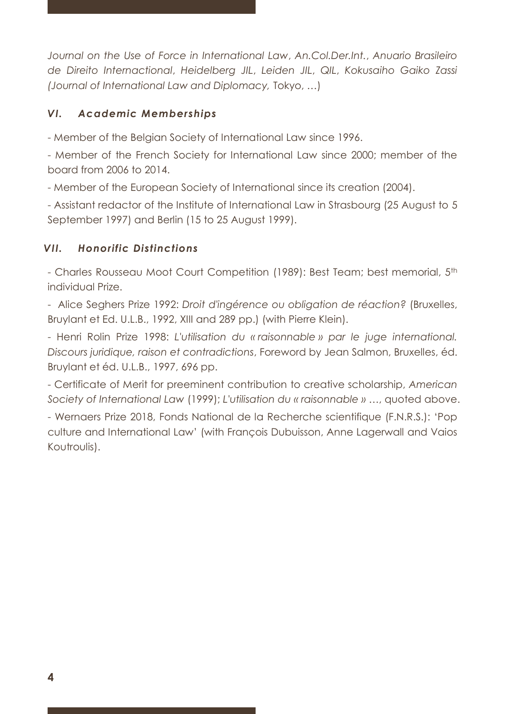*Journal on the Use of Force in International Law*, *An.Col.Der.Int.*, *Anuario Brasileiro de Direito Internactional*, *Heidelberg JIL*, *Leiden JIL*, *QIL*, *Kokusaiho Gaiko Zassi (Journal of International Law and Diplomacy,* Tokyo, …)

## *VI. Academic Memberships*

- Member of the Belgian Society of International Law since 1996.

- Member of the French Society for International Law since 2000; member of the board from 2006 to 2014.

- Member of the European Society of International since its creation (2004).

- Assistant redactor of the Institute of International Law in Strasbourg (25 August to 5 September 1997) and Berlin (15 to 25 August 1999).

## *VII. Honorific Distinctions*

- Charles Rousseau Moot Court Competition (1989): Best Team; best memorial, 5th individual Prize.

- Alice Seghers Prize 1992: *Droit d'ingérence ou obligation de réaction?* (Bruxelles, Bruylant et Ed. U.L.B., 1992, XIII and 289 pp.) (with Pierre Klein).

- Henri Rolin Prize 1998: *L'utilisation du « raisonnable » par le juge international. Discours juridique, raison et contradictions*, Foreword by Jean Salmon, Bruxelles, éd. Bruylant et éd. U.L.B., 1997, 696 pp.

- Certificate of Merit for preeminent contribution to creative scholarship, *American Society of International Law* (1999); *L'utilisation du « raisonnable »* …, quoted above.

- Wernaers Prize 2018, Fonds National de la Recherche scientifique (F.N.R.S.): 'Pop culture and International Law' (with François Dubuisson, Anne Lagerwall and Vaios Koutroulis).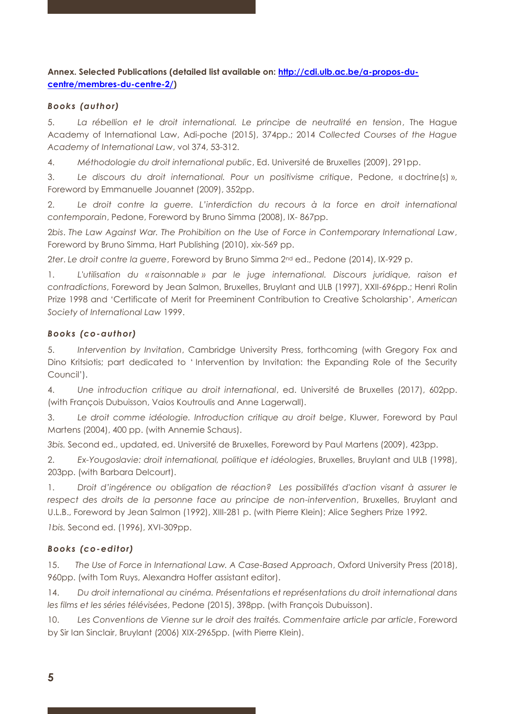### **Annex. Selected Publications (detailed list available on: [http://cdi.ulb.ac.be/a-propos-du](http://cdi.ulb.ac.be/a-propos-du-centre/membres-du-centre-2/)[centre/membres-du-centre-2/\)](http://cdi.ulb.ac.be/a-propos-du-centre/membres-du-centre-2/)**

#### *Books (author)*

5. *La rébellion et le droit international. Le principe de neutralité en tension*, The Hague Academy of International Law, Adi-poche (2015), 374pp.; 2014 *Collected Courses of the Hague Academy of International Law*, vol 374, 53-312.

4. *Méthodologie du droit international public*, Ed. Université de Bruxelles (2009), 291pp.

3. *Le discours du droit international. Pour un positivisme critique*, Pedone, « doctrine(s) », Foreword by Emmanuelle Jouannet (2009), 352pp.

2. *Le droit contre la guerre. L'interdiction du recours à la force en droit international contemporain*, Pedone, Foreword by Bruno Simma (2008), IX- 867pp.

2*bis*. *The Law Against War. The Prohibition on the Use of Force in Contemporary International Law*, Foreword by Bruno Simma, Hart Publishing (2010), xix-569 pp.

2*ter*. *Le droit contre la guerre*, Foreword by Bruno Simma 2nd ed., Pedone (2014), IX-929 p.

1. *L'utilisation du « raisonnable » par le juge international. Discours juridique, raison et contradictions*, Foreword by Jean Salmon, Bruxelles, Bruylant and ULB (1997), XXII-696pp.; Henri Rolin Prize 1998 and 'Certificate of Merit for Preeminent Contribution to Creative Scholarship', *American Society of International Law* 1999.

#### *Books (co-author)*

5. *Intervention by Invitation*, Cambridge University Press, forthcoming (with Gregory Fox and Dino Kritsiotis; part dedicated to ' Intervention by Invitation: the Expanding Role of the Security Council').

4. *Une introduction critique au droit international*, ed. Université de Bruxelles (2017), 602pp. (with François Dubuisson, Vaios Koutroulis and Anne Lagerwall).

3. *Le droit comme idéologie. Introduction critique au droit belge*, Kluwer, Foreword by Paul Martens (2004), 400 pp. (with Annemie Schaus).

*3bis.* Second ed., updated, ed. Université de Bruxelles, Foreword by Paul Martens (2009), 423pp.

2. *Ex-Yougoslavie: droit international, politique et idéologies*, Bruxelles, Bruylant and ULB (1998), 203pp. (with Barbara Delcourt).

1. *Droit d'ingérence ou obligation de réaction? Les possibilités d'action visant à assurer le respect des droits de la personne face au principe de non-intervention*, Bruxelles, Bruylant and U.L.B., Foreword by Jean Salmon (1992), XIII-281 p. (with Pierre Klein); Alice Seghers Prize 1992.

*1bis.* Second ed. (1996), XVI-309pp.

#### *Books (co-editor)*

15. *The Use of Force in International Law. A Case-Based Approach*, Oxford University Press (2018), 960pp. (with Tom Ruys, Alexandra Hoffer assistant editor).

14. *Du droit international au cinéma. Présentations et représentations du droit international dans les films et les séries télévisées*, Pedone (2015), 398pp. (with François Dubuisson).

10. *Les Conventions de Vienne sur le droit des traités. Commentaire article par article*, Foreword by Sir Ian Sinclair, Bruylant (2006) XIX-2965pp. (with Pierre Klein).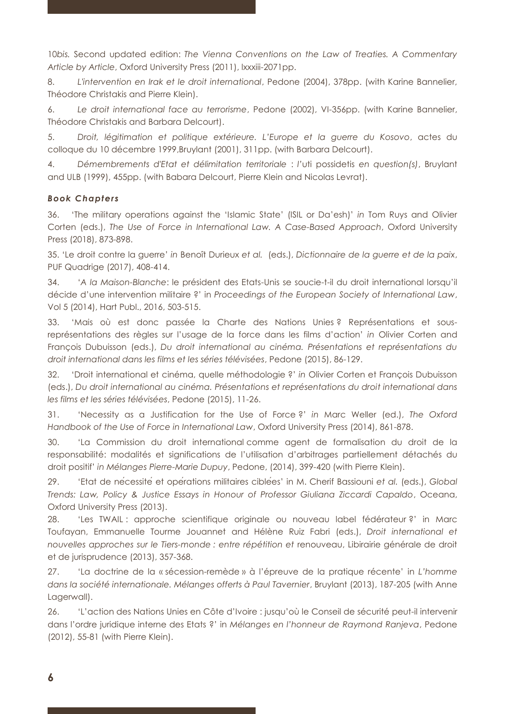10*bis.* Second updated edition: *The Vienna Conventions on the Law of Treaties. A Commentary Article by Article*, Oxford University Press (2011), lxxxiii-2071pp.

8. *L'intervention en Irak et le droit international*, Pedone (2004), 378pp. (with Karine Bannelier, Théodore Christakis and Pierre Klein).

6. *Le droit international face au terrorisme*, Pedone (2002), VI-356pp. (with Karine Bannelier, Théodore Christakis and Barbara Delcourt).

5. *Droit, légitimation et politique extérieure. L'Europe et la guerre du Kosovo*, actes du colloque du 10 décembre 1999,Bruylant (2001), 311pp. (with Barbara Delcourt).

4. *Démembrements d'Etat et délimitation territoriale* : *l'*uti possidetis *en question(s)*, Bruylant and ULB (1999), 455pp. (with Babara Delcourt, Pierre Klein and Nicolas Levrat).

#### *Book Chapters*

36. 'The military operations against the 'Islamic State' (ISIL or Da'esh)' *in* Tom Ruys and Olivier Corten (eds.), *The Use of Force in International Law. A Case-Based Approach*, Oxford University Press (2018), 873-898.

35. 'Le droit contre la guerre' *in* Benoît Durieux *et al.* (eds.), *Dictionnaire de la guerre et de la paix*, PUF Quadrige (2017), 408-414.

34. '*A la Maison-Blanche*: le président des Etats-Unis se soucie-t-il du droit international lorsqu'il décide d'une intervention militaire ?' in *Proceedings of the European Society of International Law*, Vol 5 (2014), Hart Publ., 2016, 503-515.

33. 'Mais où est donc passée la Charte des Nations Unies ? Représentations et sousreprésentations des règles sur l'usage de la force dans les films d'action' *in* Olivier Corten and François Dubuisson (eds.), *Du droit international au cinéma. Présentations et représentations du droit international dans les films et les séries télévisées*, Pedone (2015), 86-129.

32. 'Droit international et cinéma, quelle méthodologie ?' *in* Olivier Corten et François Dubuisson (eds.), *Du droit international au cinéma. Présentations et représentations du droit international dans les films et les séries télévisées*, Pedone (2015), 11-26.

31. 'Necessity as a Justification for the Use of Force ?' *in* Marc Weller (ed.), *The Oxford Handbook of the Use of Force in International Law*, Oxford University Press (2014), 861-878.

30. 'La Commission du droit international comme agent de formalisation du droit de la responsabilité: modalités et significations de l'utilisation d'arbitrages partiellement détachés du droit positif' *in Mélanges Pierre-Marie Dupuy*, Pedone, (2014), 399-420 (with Pierre Klein).

29. 'Etat de nécessité et opérations militaires ciblées' in M. Cherif Bassiouni *et al.* (eds.), *Global Trends: Law, Policy & Justice Essays in Honour of Professor Giuliana Ziccardi Capaldo*, Oceana, Oxford University Press (2013).

28. 'Les TWAIL : approche scientifique originale ou nouveau label fédérateur ?' in Marc Toufayan, Emmanuelle Tourme Jouannet and Hélène Ruiz Fabri (eds.), *Droit international et nouvelles approches sur le Tiers-monde : entre répétition et* renouveau, Libirairie générale de droit et de jurisprudence (2013), 357-368.

27. 'La doctrine de la « sécession-remède » à l'épreuve de la pratique récente' in *L'homme dans la société internationale. Mélanges offerts à Paul Tavernier*, Bruylant (2013), 187-205 (with Anne Lagerwall).

26. 'L'action des Nations Unies en Côte d'Ivoire : jusqu'où le Conseil de sécurité peut-il intervenir dans l'ordre juridique interne des Etats ?' in *Mélanges en l'honneur de Raymond Ranjeva*, Pedone (2012), 55-81 (with Pierre Klein).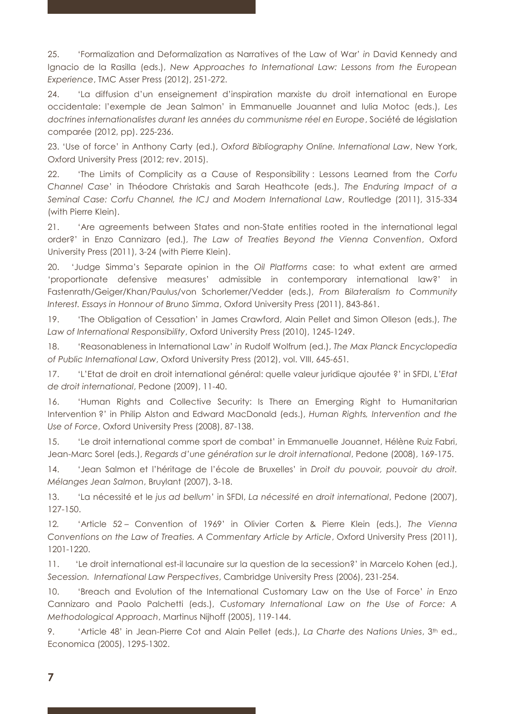25. 'Formalization and Deformalization as Narratives of the Law of War' *in* David Kennedy and Ignacio de la Rasilla (eds.), *New Approaches to International Law: Lessons from the European Experience*, TMC Asser Press (2012), 251-272.

24. 'La diffusion d'un enseignement d'inspiration marxiste du droit international en Europe occidentale: l'exemple de Jean Salmon' in Emmanuelle Jouannet and Iulia Motoc (eds.), *Les doctrines internationalistes durant les années du communisme réel en Europe*, Société de législation comparée (2012, pp). 225-236.

23. 'Use of force' in Anthony Carty (ed.), *Oxford Bibliography Online. International Law*, New York, Oxford University Press (2012; rev. 2015).

22. 'The Limits of Complicity as a Cause of Responsibility : Lessons Learned from the *Corfu Channel Case*' in Théodore Christakis and Sarah Heathcote (eds.), *The Enduring Impact of a Seminal Case: Corfu Channel, the ICJ and Modern International Law*, Routledge (2011), 315-334 (with Pierre Klein).

21. 'Are agreements between States and non-State entities rooted in the international legal order?' in Enzo Cannizaro (ed.), *The Law of Treaties Beyond the Vienna Convention*, Oxford University Press (2011), 3-24 (with Pierre Klein).

20. 'Judge Simma's Separate opinion in the *Oil Platforms* case: to what extent are armed 'proportionate defensive measures' admissible in contemporary international law?' in Fastenrath/Geiger/Khan/Paulus/von Schorlemer/Vedder (eds.), *From Bilateralism to Community Interest. Essays in Honnour of Bruno Simma*, Oxford University Press (2011), 843-861.

19. 'The Obligation of Cessation' in James Crawford, Alain Pellet and Simon Olleson (eds.), *The Law of International Responsibility*, Oxford University Press (2010), 1245-1249.

18. 'Reasonableness in International Law' *in* Rudolf Wolfrum (ed.), *The Max Planck Encyclopedia of Public International Law*, Oxford University Press (2012), vol. VIII, 645-651*.* 

17. 'L'Etat de droit en droit international général: quelle valeur juridique ajoutée ?' in SFDI, *L'Etat de droit international*, Pedone (2009), 11-40.

16. 'Human Rights and Collective Security: Is There an Emerging Right to Humanitarian Intervention ?' in Philip Alston and Edward MacDonald (eds.), *Human Rights, Intervention and the Use of Force*, Oxford University Press (2008), 87-138.

15. 'Le droit international comme sport de combat' in Emmanuelle Jouannet, Hélène Ruiz Fabri, Jean-Marc Sorel (eds.), *Regards d'une génération sur le droit international*, Pedone (2008), 169-175.

14. 'Jean Salmon et l'héritage de l'école de Bruxelles' in *Droit du pouvoir, pouvoir du droit. Mélanges Jean Salmon*, Bruylant (2007), 3-18.

13. 'La nécessité et le *jus ad bellum*' in SFDI, *La nécessité en droit international*, Pedone (2007), 127-150.

12*.* 'Article 52 – Convention of 1969' in Olivier Corten & Pierre Klein (eds.), *The Vienna Conventions on the Law of Treaties. A Commentary Article by Article*, Oxford University Press (2011), 1201-1220.

11. 'Le droit international est-il lacunaire sur la question de la secession?' in Marcelo Kohen (ed.), *Secession. International Law Perspectives*, Cambridge University Press (2006), 231-254.

10. 'Breach and Evolution of the International Customary Law on the Use of Force' *in* Enzo Cannizaro and Paolo Palchetti (eds.), *Customary International Law on the Use of Force: A Methodological Approach*, Martinus Nijhoff (2005), 119-144.

9. 'Article 48' in Jean-Pierre Cot and Alain Pellet (eds.), La Charte des Nations Unies, 3<sup>th</sup> ed., Economica (2005), 1295-1302.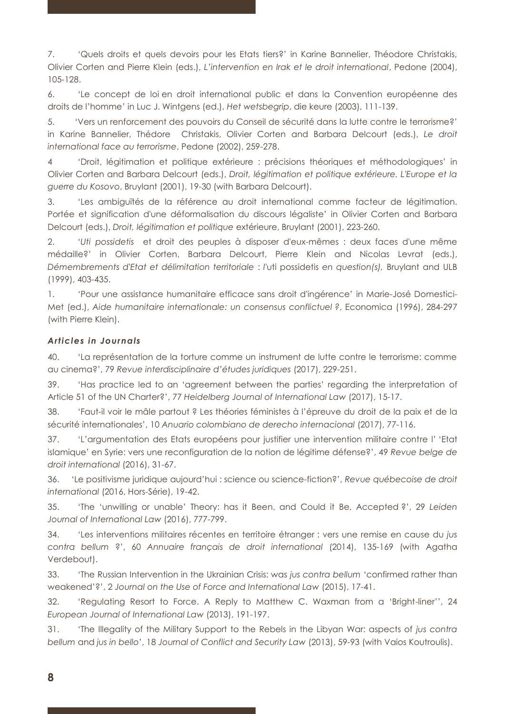7. 'Quels droits et quels devoirs pour les Etats tiers?' in Karine Bannelier, Théodore Christakis, Olivier Corten and Pierre Klein (eds.), *L'intervention en Irak et le droit international*, Pedone (2004), 105-128.

6. 'Le concept de loi en droit international public et dans la Convention européenne des droits de l'homme' in Luc J. Wintgens (ed.), *Het wetsbegrip*, die keure (2003), 111-139.

5. 'Vers un renforcement des pouvoirs du Conseil de sécurité dans la lutte contre le terrorisme?' in Karine Bannelier, Thédore Christakis, Olivier Corten and Barbara Delcourt (eds.), *Le droit international face au terrorisme*, Pedone (2002), 259-278.

4 'Droit, légitimation et politique extérieure : précisions théoriques et méthodologiques' in Olivier Corten and Barbara Delcourt (eds.), *Droit, légitimation et politique extérieure. L'Europe et la guerre du Kosovo*, Bruylant (2001), 19-30 (with Barbara Delcourt).

3. 'Les ambiguïtés de la référence au droit international comme facteur de légitimation. Portée et signification d'une déformalisation du discours légaliste' in Olivier Corten and Barbara Delcourt (eds.), *Droit, légitimation et politique* extérieure, Bruylant (2001), 223-260.

2. '*Uti possidetis* et droit des peuples à disposer d'eux-mêmes : deux faces d'une même médaille?' in Olivier Corten, Barbara Delcourt, Pierre Klein and Nicolas Levrat (eds.), *Démembrements d'Etat et délimitation territoriale* : *l'*uti possidetis *en question(s),* Bruylant and ULB (1999), 403-435.

1. 'Pour une assistance humanitaire efficace sans droit d'ingérence' in Marie-José Domestici-Met (ed.), *Aide humanitaire internationale: un consensus conflictuel ?*, Economica (1996), 284-297 (with Pierre Klein).

#### *Articles in Journals*

40. 'La représentation de la torture comme un instrument de lutte contre le terrorisme: comme au cinema?', 79 *Revue interdisciplinaire d'études juridiques* (2017), 229-251.

39. 'Has practice led to an 'agreement between the parties' regarding the interpretation of Article 51 of the UN Charter?', 77 *Heidelberg Journal of International Law* (2017), 15-17.

38. 'Faut-il voir le mâle partout ? Les théories féministes à l'épreuve du droit de la paix et de la sécurité internationales', 10 *Anuario colombiano de derecho internacional* (2017), 77-116.

37. 'L'argumentation des Etats européens pour justifier une intervention militaire contre l' 'Etat islamique' en Syrie: vers une reconfiguration de la notion de légitime défense?', 49 *Revue belge de droit international* (2016), 31-67.

36. 'Le positivisme juridique aujourd'hui : science ou science-fiction?', *Revue québecoise de droit international* (2016, Hors-Série), 19-42.

35. 'The 'unwilling or unable' Theory: has it Been, and Could it Be, Accepted ?', 29 *Leiden Journal of International Law* (2016), 777-799.

34. 'Les interventions militaires récentes en territoire étranger : vers une remise en cause du *jus contra bellum* ?', 60 *Annuaire français de droit international* (2014), 135-169 (with Agatha Verdebout).

33. 'The Russian Intervention in the Ukrainian Crisis: was *jus contra bellum* 'confirmed rather than weakened'?', 2 *Journal on the Use of Force and International Law* (2015), 17-41.

32. 'Regulating Resort to Force. A Reply to Matthew C. Waxman from a 'Bright-liner'', 24 *European Journal of International Law* (2013), 191-197.

31. 'The Illegality of the Military Support to the Rebels in the Libyan War: aspects of *jus contra bellum* and *jus in bello*', 18 *Journal of Conflict and Security Law* (2013), 59-93 (with Vaios Koutroulis).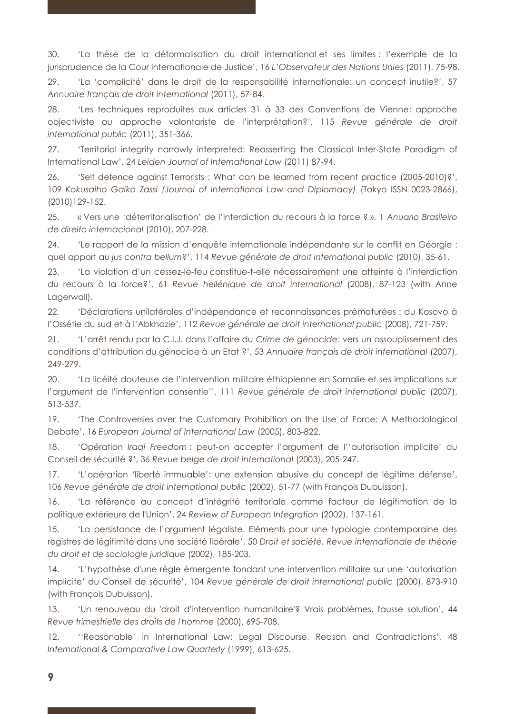30. 'La thèse de la déformalisation du droit international et ses limites : l'exemple de la jurisprudence de la Cour internationale de Justice', 16 *L'Observateur des Nations Unies* (2011), 75-98.

29. 'La 'complicité' dans le droit de la responsabilité internationale: un concept inutile?', 57 *Annuaire français de droit international* (2011), 57-84.

28. 'Les techniques reproduites aux articles 31 à 33 des Conventions de Vienne: approche objectiviste ou approche volontariste de l'interprétation?', 115 *Revue générale de droit international public* (2011), 351-366.

27. 'Territorial integrity narrowly interpreted: Reasserting the Classical Inter-State Paradigm of International Law', 24 *Leiden Journal of International Law* (2011) 87-94.

26. 'Self defence against Terrorists : What can be learned from recent practice (2005-2010)?', 109 Kokusaiho Gaiko Zassi (Journal of International Law and Diplomacy) (Tokyo ISSN 0023-2866), (2010)129-152.

25. « Vers une 'déterritorialisation' de l'interdiction du recours à la force ? », 1 *Anuario Brasileiro de direito internacional* (2010), 207-228.

24. 'Le rapport de la mission d'enquête internationale indépendante sur le conflit en Géorgie : quel apport au *jus contra bellum*?', 114 *Revue générale de droit international public* (2010), 35-61.

23. 'La violation d'un cessez-le-feu constitue-t-elle nécessairement une atteinte à l'interdiction du recours à la force?', 61 *Revue hellénique de droit international* (2008), 87-123 (with Anne Lagerwall).

22. 'Déclarations unilatérales d'indépendance et reconnaissances prématurées : du Kosovo à l'Ossétie du sud et à l'Abkhazie', 112 *Revue générale de droit international public* (2008), 721-759.

21. 'L'arrêt rendu par la C.I.J. dans l'affaire du *Crime de génocide*: vers un assouplissement des conditions d'attribution du génocide à un Etat ?', 53 *Annuaire français de droit international* (2007), 249-279.

20. 'La licéité douteuse de l'intervention militaire éthiopienne en Somalie et ses implications sur l'argument de l'intervention consentie'', 111 *Revue générale de droit international public* (2007), 513-537.

19. 'The Controversies over the Customary Prohibition on the Use of Force: A Methodological Debate', 16 *European Journal of International Law* (2005), 803-822.

18. 'Opération *Iraqi Freedom* : peut-on accepter l'argument de l''autorisation implicite' du Conseil de sécurité ?', 36 *Revue belge de droit international* (2003), 205-247.

17. 'L'opération 'liberté immuable': une extension abusive du concept de légitime défense', 106 *Revue générale de droit international public* (2002), 51-77 (with François Dubuisson).

16. 'La référence au concept d'intégrité territoriale comme facteur de légitimation de la politique extérieure de l'Union', 24 *Review of European Integration* (2002), 137-161.

15. 'La persistance de l'argument légaliste. Eléments pour une typologie contemporaine des registres de légitimité dans une société libérale', 50 *Droit et société. Revue internationale de théorie du droit et de sociologie juridique* (2002), 185-203.

14. 'L'hypothèse d'une règle émergente fondant une intervention militaire sur une 'autorisation implicite' du Conseil de sécurité', 104 *Revue générale de droit international public* (2000), 873-910 (with François Dubuisson).

13. 'Un renouveau du 'droit d'intervention humanitaire'? Vrais problèmes, fausse solution', 44 *Revue trimestrielle des droits de l'homme* (2000), 695-708.

12. ''Reasonable' in International Law: Legal Discourse, Reason and Contradictions', 48 *International & Comparative Law Quarterly* (1999), 613-625.